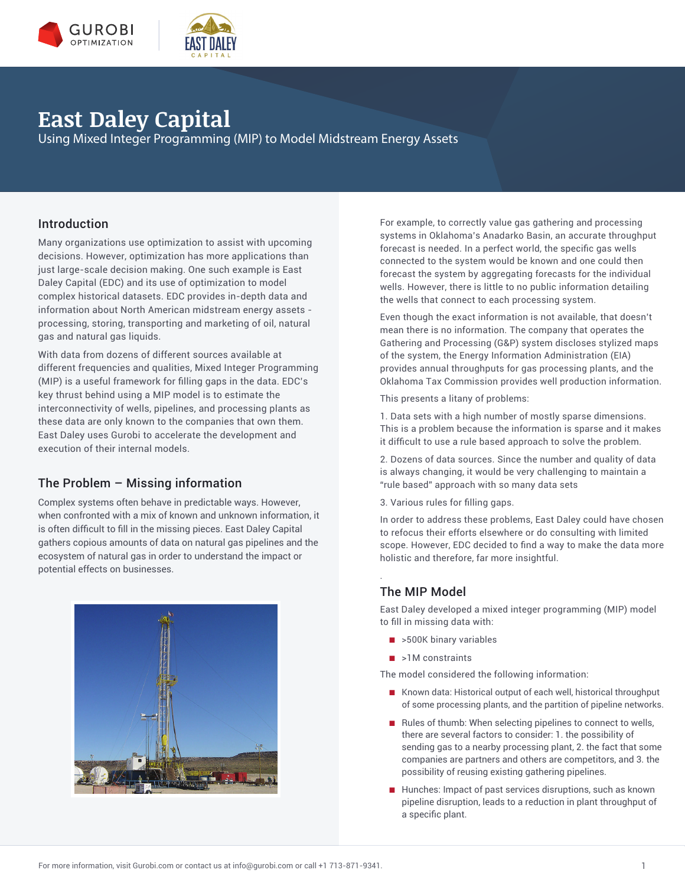

## **East Daley Capital**

Using Mixed Integer Programming (MIP) to Model Midstream Energy Assets

### Introduction

Many organizations use optimization to assist with upcoming decisions. However, optimization has more applications than just large-scale decision making. One such example is East Daley Capital (EDC) and its use of optimization to model complex historical datasets. EDC provides in-depth data and information about North American midstream energy assets processing, storing, transporting and marketing of oil, natural gas and natural gas liquids.

With data from dozens of different sources available at different frequencies and qualities, Mixed Integer Programming (MIP) is a useful framework for filling gaps in the data. EDC's key thrust behind using a MIP model is to estimate the interconnectivity of wells, pipelines, and processing plants as these data are only known to the companies that own them. East Daley uses Gurobi to accelerate the development and execution of their internal models.

### The Problem – Missing information

Complex systems often behave in predictable ways. However, when confronted with a mix of known and unknown information, it is often difficult to fill in the missing pieces. East Daley Capital gathers copious amounts of data on natural gas pipelines and the ecosystem of natural gas in order to understand the impact or potential effects on businesses.



For example, to correctly value gas gathering and processing systems in Oklahoma's Anadarko Basin, an accurate throughput forecast is needed. In a perfect world, the specific gas wells connected to the system would be known and one could then forecast the system by aggregating forecasts for the individual wells. However, there is little to no public information detailing the wells that connect to each processing system.

Even though the exact information is not available, that doesn't mean there is no information. The company that operates the Gathering and Processing (G&P) system discloses stylized maps of the system, the Energy Information Administration (EIA) provides annual throughputs for gas processing plants, and the Oklahoma Tax Commission provides well production information.

This presents a litany of problems:

1. Data sets with a high number of mostly sparse dimensions. This is a problem because the information is sparse and it makes it difficult to use a rule based approach to solve the problem.

2. Dozens of data sources. Since the number and quality of data is always changing, it would be very challenging to maintain a "rule based" approach with so many data sets

3. Various rules for filling gaps.

In order to address these problems, East Daley could have chosen to refocus their efforts elsewhere or do consulting with limited scope. However, EDC decided to find a way to make the data more holistic and therefore, far more insightful.

### The MIP Model

.

East Daley developed a mixed integer programming (MIP) model to fill in missing data with:

- >500K binary variables
- >1M constraints

The model considered the following information:

- Known data: Historical output of each well, historical throughput of some processing plants, and the partition of pipeline networks.
- Rules of thumb: When selecting pipelines to connect to wells, there are several factors to consider: 1. the possibility of sending gas to a nearby processing plant, 2. the fact that some companies are partners and others are competitors, and 3. the possibility of reusing existing gathering pipelines.
- Hunches: Impact of past services disruptions, such as known pipeline disruption, leads to a reduction in plant throughput of a specific plant.